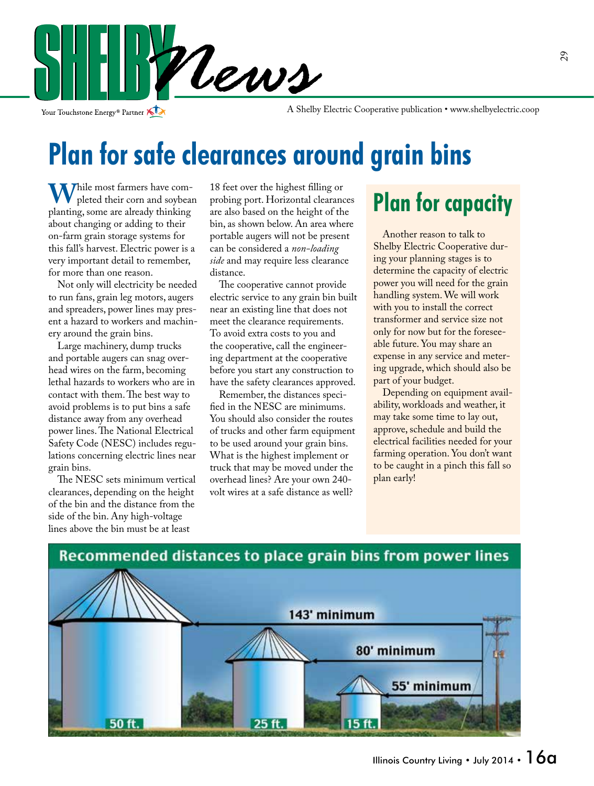

Your Touchstone Energy<sup>®</sup> Partner

A Shelby Electric Cooperative publication • www.shelbyelectric.coop

## **Plan for safe clearances around grain bins**

**W**hile most farmers have completed their corn and soybean planting, some are already thinking about changing or adding to their on-farm grain storage systems for this fall's harvest. Electric power is a very important detail to remember, for more than one reason.

 Not only will electricity be needed to run fans, grain leg motors, augers and spreaders, power lines may present a hazard to workers and machinery around the grain bins.

 Large machinery, dump trucks and portable augers can snag overhead wires on the farm, becoming lethal hazards to workers who are in contact with them. The best way to avoid problems is to put bins a safe distance away from any overhead power lines. The National Electrical Safety Code (NESC) includes regulations concerning electric lines near grain bins.

 The NESC sets minimum vertical clearances, depending on the height of the bin and the distance from the side of the bin. Any high-voltage lines above the bin must be at least

18 feet over the highest filling or probing port. Horizontal clearances are also based on the height of the bin, as shown below. An area where portable augers will not be present can be considered a *non-loading side* and may require less clearance distance.

 The cooperative cannot provide electric service to any grain bin built near an existing line that does not meet the clearance requirements. To avoid extra costs to you and the cooperative, call the engineering department at the cooperative before you start any construction to have the safety clearances approved.

 Remember, the distances specified in the NESC are minimums. You should also consider the routes of trucks and other farm equipment to be used around your grain bins. What is the highest implement or truck that may be moved under the overhead lines? Are your own 240 volt wires at a safe distance as well?

### **Plan for capacity**

 Another reason to talk to Shelby Electric Cooperative during your planning stages is to determine the capacity of electric power you will need for the grain handling system. We will work with you to install the correct transformer and service size not only for now but for the foreseeable future. You may share an expense in any service and metering upgrade, which should also be part of your budget.

 Depending on equipment availability, workloads and weather, it may take some time to lay out, approve, schedule and build the electrical facilities needed for your farming operation. You don't want to be caught in a pinch this fall so plan early!

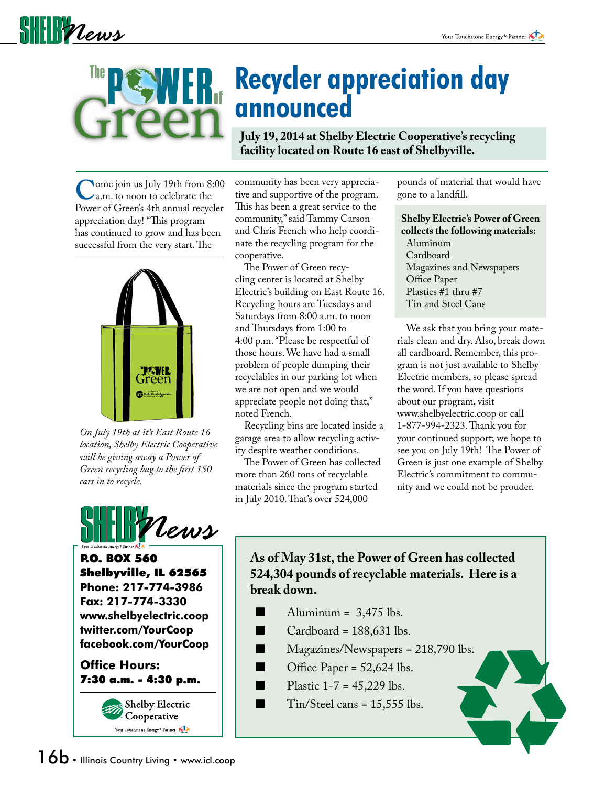**SHELLY** Lews



**Come join us July 19th from 8:00**<br>
a.m. to noon to celebrate the<br>
Power of Green's 4th annual recycler Power of Green's 4th annual recycler appreciation day! "This program has continued to grow and has been successful from the very start. The



*On July 19th at it's East Route 16 location, Shelby Electric Cooperative will be giving away a Power of Green recycling bag to the first 150 cars in to recycle.* 



P.O. BOX 560 Shelbyville, IL 62565 **Phone: 217-774-3986 Fax: 217-774-3330 www.shelbyelectric.coop twitter.com/YourCoop facebook.com/YourCoop**

**Office Hours:** 7:30 a.m. - 4:30 p.m.



community has been very appreciative and supportive of the program. This has been a great service to the community," said Tammy Carson and Chris French who help coordinate the recycling program for the cooperative.

 The Power of Green recycling center is located at Shelby Electric's building on East Route 16. Recycling hours are Tuesdays and Saturdays from 8:00 a.m. to noon and Thursdays from 1:00 to 4:00 p.m. "Please be respectful of those hours. We have had a small problem of people dumping their recyclables in our parking lot when we are not open and we would appreciate people not doing that," noted French.

 Recycling bins are located inside a garage area to allow recycling activity despite weather conditions.

 The Power of Green has collected more than 260 tons of recyclable materials since the program started in July 2010. That's over 524,000

pounds of material that would have gone to a landfill.

**Shelby Electric's Power of Green collects the following materials:**  Aluminum Cardboard Magazines and Newspapers Office Paper Plastics #1 thru #7 Tin and Steel Cans

 We ask that you bring your materials clean and dry. Also, break down all cardboard. Remember, this program is not just available to Shelby Electric members, so please spread the word. If you have questions about our program, visit www.shelbyelectric.coop or call 1-877-994-2323. Thank you for your continued support; we hope to see you on July 19th! The Power of Green is just one example of Shelby Electric's commitment to community and we could not be prouder.

**As of May 31st, the Power of Green has collected 524,304 pounds of recyclable materials. Here is a break down.**

- Aluminum =  $3,475$  lbs.
- Cardboard = 188,631 lbs.
- Magazines/Newspapers = 218,790 lbs.
- Office Paper = 52,624 lbs.
- Plastic  $1 7 = 45,229$  lbs.
	- Tin/Steel cans = 15,555 lbs.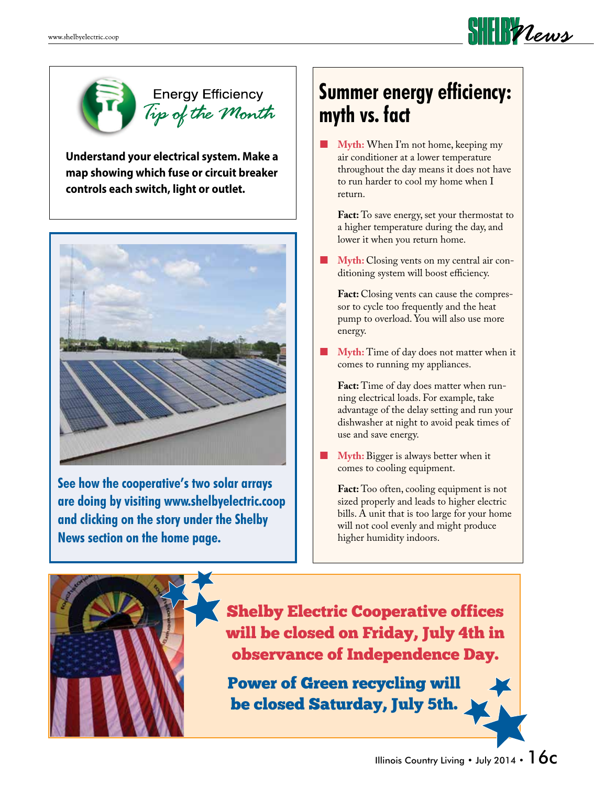



**Understand your electrical system. Make a map showing which fuse or circuit breaker controls each switch, light or outlet.**



**See how the cooperative's two solar arrays are doing by visiting www.shelbyelectric.coop and clicking on the story under the Shelby News section on the home page.**

#### **Summer energy efficiency: myth vs. fact**

 **Myth:** When I'm not home, keeping my air conditioner at a lower temperature throughout the day means it does not have to run harder to cool my home when I return.

**Fact:** To save energy, set your thermostat to a higher temperature during the day, and lower it when you return home.

**Myth:** Closing vents on my central air conditioning system will boost efficiency.

**Fact:** Closing vents can cause the compressor to cycle too frequently and the heat pump to overload. You will also use more energy.

 **Myth:** Time of day does not matter when it comes to running my appliances.

**Fact:** Time of day does matter when running electrical loads. For example, take advantage of the delay setting and run your dishwasher at night to avoid peak times of use and save energy.

 **Myth:** Bigger is always better when it comes to cooling equipment.

**Fact:** Too often, cooling equipment is not sized properly and leads to higher electric bills. A unit that is too large for your home will not cool evenly and might produce higher humidity indoors.



Shelby Electric Cooperative offices will be closed on Friday, July 4th in observance of Independence Day.

Power of Green recycling will be closed Saturday, July 5th.